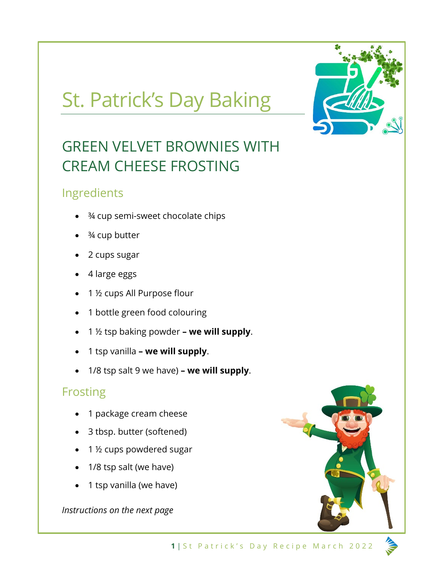# St. Patrick's Day Baking



# GREEN VELVET BROWNIES WITH CREAM CHEESE FROSTING

#### Ingredients

- ¾ cup semi-sweet chocolate chips
- <sup>3</sup>/4 cup butter
- 2 cups sugar
- 4 large eggs
- 1 ½ cups All Purpose flour
- 1 bottle green food colouring
- 1 ½ tsp baking powder **– we will supply**.
- 1 tsp vanilla **– we will supply**.
- 1/8 tsp salt 9 we have) **– we will supply**.

## **Frosting**

- 1 package cream cheese
- 3 tbsp. butter (softened)
- 1 ½ cups powdered sugar
- 1/8 tsp salt (we have)
- 1 tsp vanilla (we have)

*Instructions on the next page*